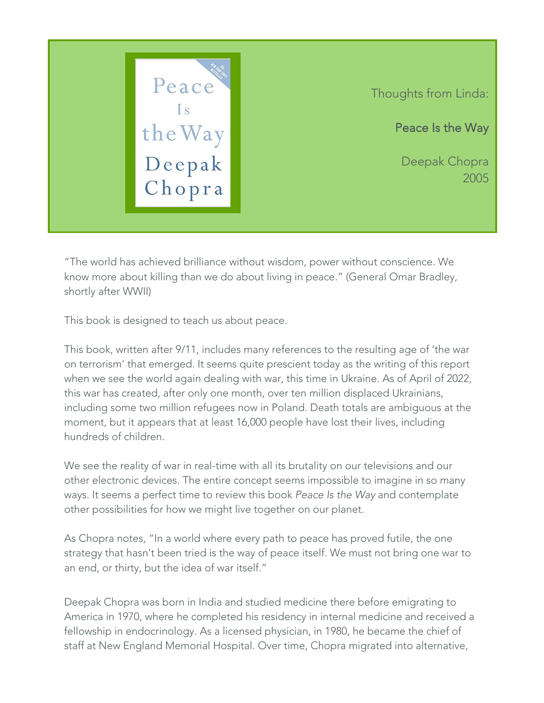

"The world has achieved brilliance without wisdom, power without conscience. We know more about killing than we do about living in peace." (General Omar Bradley, shortly after WWII)

This book is designed to teach us about peace.

This book, written after 9/11, includes many references to the resulting age of 'the war on terrorism' that emerged. It seems quite prescient today as the writing of this report when we see the world again dealing with war, this time in Ukraine. As of April of 2022, this war has created, after only one month, over ten million displaced Ukrainians, including some two million refugees now in Poland. Death totals are ambiguous at the moment, but it appears that at least 16,000 people have lost their lives, including hundreds of children.

We see the reality of war in real-time with all its brutality on our televisions and our other electronic devices. The entire concept seems impossible to imagine in so many ways. It seems a perfect time to review this book *Peace Is the Way* and contemplate other possibilities for how we might live together on our planet.

As Chopra notes, "In a world where every path to peace has proved futile, the one strategy that hasn't been tried is the way of peace itself. We must not bring one war to an end, or thirty, but the idea of war itself."

Deepak Chopra was born in India and studied medicine there before emigrating to America in 1970, where he completed his residency in internal medicine and received a fellowship in endocrinology. As a licensed physician, in 1980, he became the chief of staff at New England Memorial Hospital. Over time, Chopra migrated into alternative,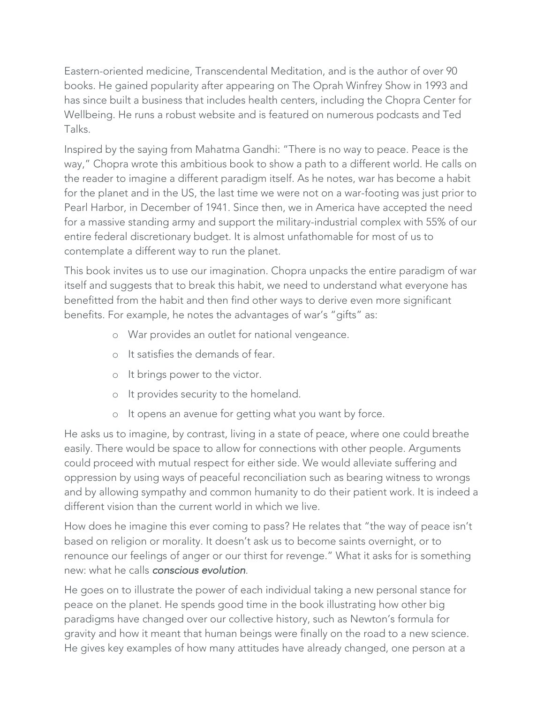Eastern-oriented medicine, Transcendental Meditation, and is the author of over 90 books. He gained popularity after appearing on The Oprah Winfrey Show in 1993 and has since built a business that includes health centers, including the Chopra Center for Wellbeing. He runs a robust website and is featured on numerous podcasts and Ted Talks.

Inspired by the saying from Mahatma Gandhi: "There is no way to peace. Peace is the way," Chopra wrote this ambitious book to show a path to a different world. He calls on the reader to imagine a different paradigm itself. As he notes, war has become a habit for the planet and in the US, the last time we were not on a war-footing was just prior to Pearl Harbor, in December of 1941. Since then, we in America have accepted the need for a massive standing army and support the military-industrial complex with 55% of our entire federal discretionary budget. It is almost unfathomable for most of us to contemplate a different way to run the planet.

This book invites us to use our imagination. Chopra unpacks the entire paradigm of war itself and suggests that to break this habit, we need to understand what everyone has benefitted from the habit and then find other ways to derive even more significant benefits. For example, he notes the advantages of war's "gifts" as:

- o War provides an outlet for national vengeance.
- o It satisfies the demands of fear.
- o It brings power to the victor.
- o It provides security to the homeland.
- o It opens an avenue for getting what you want by force.

He asks us to imagine, by contrast, living in a state of peace, where one could breathe easily. There would be space to allow for connections with other people. Arguments could proceed with mutual respect for either side. We would alleviate suffering and oppression by using ways of peaceful reconciliation such as bearing witness to wrongs and by allowing sympathy and common humanity to do their patient work. It is indeed a different vision than the current world in which we live.

How does he imagine this ever coming to pass? He relates that "the way of peace isn't based on religion or morality. It doesn't ask us to become saints overnight, or to renounce our feelings of anger or our thirst for revenge." What it asks for is something new: what he calls *conscious evolution*.

He goes on to illustrate the power of each individual taking a new personal stance for peace on the planet. He spends good time in the book illustrating how other big paradigms have changed over our collective history, such as Newton's formula for gravity and how it meant that human beings were finally on the road to a new science. He gives key examples of how many attitudes have already changed, one person at a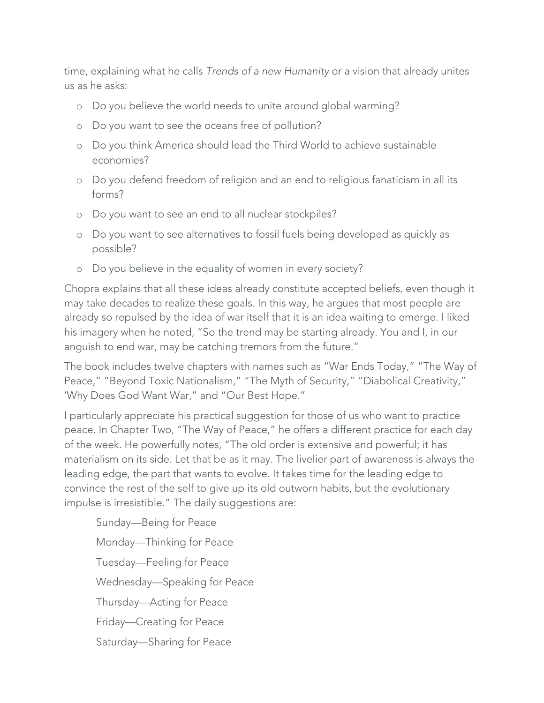time, explaining what he calls *Trends of a new Humanity* or a vision that already unites us as he asks:

- o Do you believe the world needs to unite around global warming?
- o Do you want to see the oceans free of pollution?
- o Do you think America should lead the Third World to achieve sustainable economies?
- o Do you defend freedom of religion and an end to religious fanaticism in all its forms?
- o Do you want to see an end to all nuclear stockpiles?
- o Do you want to see alternatives to fossil fuels being developed as quickly as possible?
- o Do you believe in the equality of women in every society?

Chopra explains that all these ideas already constitute accepted beliefs, even though it may take decades to realize these goals. In this way, he argues that most people are already so repulsed by the idea of war itself that it is an idea waiting to emerge. I liked his imagery when he noted, "So the trend may be starting already. You and I, in our anguish to end war, may be catching tremors from the future."

The book includes twelve chapters with names such as "War Ends Today," "The Way of Peace," "Beyond Toxic Nationalism," "The Myth of Security," "Diabolical Creativity," 'Why Does God Want War," and "Our Best Hope."

I particularly appreciate his practical suggestion for those of us who want to practice peace. In Chapter Two, "The Way of Peace," he offers a different practice for each day of the week. He powerfully notes, "The old order is extensive and powerful; it has materialism on its side. Let that be as it may. The livelier part of awareness is always the leading edge, the part that wants to evolve. It takes time for the leading edge to convince the rest of the self to give up its old outworn habits, but the evolutionary impulse is irresistible." The daily suggestions are:

Sunday—Being for Peace Monday—Thinking for Peace Tuesday—Feeling for Peace Wednesday—Speaking for Peace Thursday—Acting for Peace Friday—Creating for Peace Saturday—Sharing for Peace